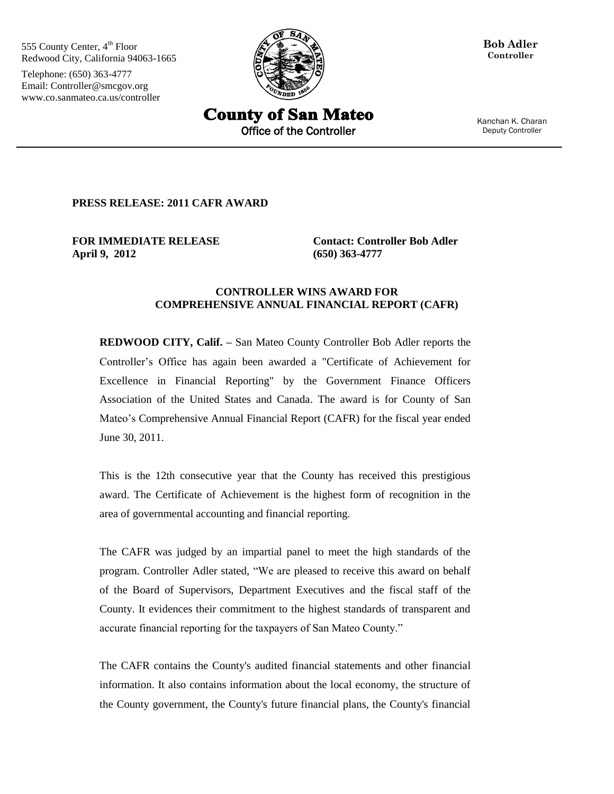555 County Center, 4<sup>th</sup> Floor Redwood City, California 94063-1665

Telephone: (650) 363-4777 Email: Controller@smcgov.org www.co.sanmateo.ca.us/controller



**Bob Adler Controller**

**County of San Mateo** Office of the Controller **Deputy Controller** 

Kanchan K. Charan

**PRESS RELEASE: 2011 CAFR AWARD**

**FOR IMMEDIATE RELEASE April 9, 2012** 

**Contact: Controller Bob Adler (650) 363-4777** 

## **CONTROLLER WINS AWARD FOR COMPREHENSIVE ANNUAL FINANCIAL REPORT (CAFR)**

**REDWOOD CITY, Calif. –** San Mateo County Controller Bob Adler reports the Controller's Office has again been awarded a "Certificate of Achievement for Excellence in Financial Reporting" by the Government Finance Officers Association of the United States and Canada. The award is for County of San Mateo's Comprehensive Annual Financial Report (CAFR) for the fiscal year ended June 30, 2011.

This is the 12th consecutive year that the County has received this prestigious award. The Certificate of Achievement is the highest form of recognition in the area of governmental accounting and financial reporting.

The CAFR was judged by an impartial panel to meet the high standards of the program. Controller Adler stated, "We are pleased to receive this award on behalf of the Board of Supervisors, Department Executives and the fiscal staff of the County. It evidences their commitment to the highest standards of transparent and accurate financial reporting for the taxpayers of San Mateo County."

The CAFR contains the County's audited financial statements and other financial information. It also contains information about the local economy, the structure of the County government, the County's future financial plans, the County's financial